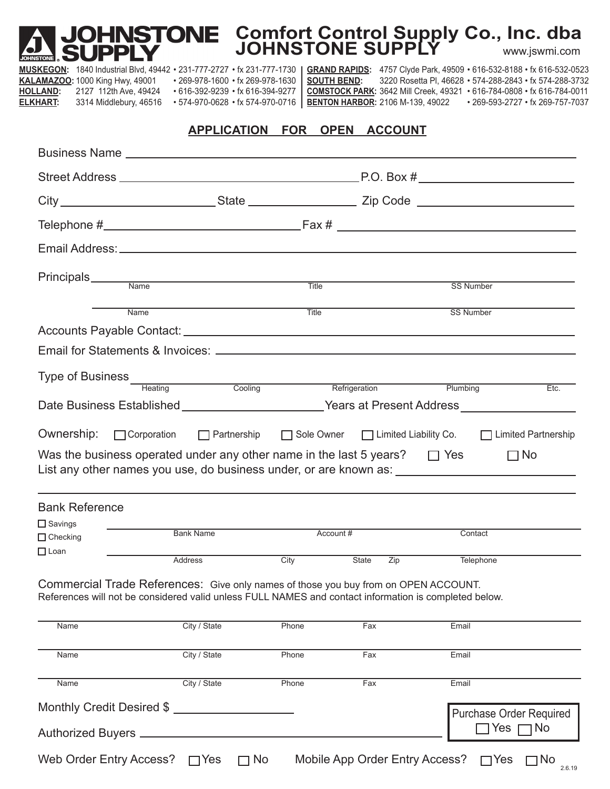# **Comfort Control Supply Co., Inc. dba JOHNSTONE SUPPLY** www.jswmi.com

**MUSKEGON:** 1840 Industrial Blvd, 49442 • 231-777-2727 • fx 231-777-1730 | KALAMAZOO: 1000 King Hwy, 49001 • 269-978-1600 • fx 269-978-1630 **HOLLAND:** 2127 112th Ave, 49424 • 616-392-9239 • fx 616-394-9277 **ELKHART:** 3314 Middlebury, 46516 • 574-970-0628 • fx 574-970-0716 GRAND RAPIDS: 4757 Clyde Park, 49509 • 616-532-8188 • fx 616-532-0523 **SOUTH BEND:** 3220 Rosetta Pl, 46628 • 574-288-2843 • fx 574-288-3732 **COMSTOCK PARK:** 3642 Mill Creek, 49321 • 616-784-0808 • fx 616-784-0011 **BENTON HARBOR:** 2106 M-139, 49022 • 269-593-2727 • fx 269-757-7037

#### **APPLICATION FOR OPEN ACCOUNT**

|                                                                                                                                                                                              | Email Address: North American State of the American State of the American State of the American State of the American State of the American State of the American State of the American State of the American State of the Ame                                                           |           |              |                                                        |           |
|----------------------------------------------------------------------------------------------------------------------------------------------------------------------------------------------|------------------------------------------------------------------------------------------------------------------------------------------------------------------------------------------------------------------------------------------------------------------------------------------|-----------|--------------|--------------------------------------------------------|-----------|
|                                                                                                                                                                                              |                                                                                                                                                                                                                                                                                          |           |              | SS Number                                              |           |
| Name                                                                                                                                                                                         |                                                                                                                                                                                                                                                                                          | Title     |              | <b>SS Number</b>                                       |           |
|                                                                                                                                                                                              |                                                                                                                                                                                                                                                                                          |           |              |                                                        |           |
|                                                                                                                                                                                              |                                                                                                                                                                                                                                                                                          |           |              |                                                        |           |
|                                                                                                                                                                                              | Type of Business<br>Heating<br>Cooling<br>Cooling<br>Cooling<br>Refrigeration<br>Refrigeration<br>Plumbing                                                                                                                                                                               |           |              |                                                        | Etc.      |
|                                                                                                                                                                                              | Date Business Established ________________________Years at Present Address ________________________                                                                                                                                                                                      |           |              |                                                        |           |
| <b>Bank Reference</b>                                                                                                                                                                        | Ownership: Corporation   Partnership   Sole Owner   Limited Liability Co.   Limited Partnership<br>Was the business operated under any other name in the last 5 years? $\Box$ Yes<br>List any other names you use, do business under, or are known as: _________________________________ |           |              |                                                        | $\Box$ No |
| $\square$ Savings<br>$\Box$ Checking                                                                                                                                                         | <b>Bank Name</b>                                                                                                                                                                                                                                                                         | Account # |              | Contact                                                |           |
| $\Box$ Loan                                                                                                                                                                                  | Address                                                                                                                                                                                                                                                                                  | City      | State<br>Zip | Telephone                                              |           |
| Commercial Trade References: Give only names of those you buy from on OPEN ACCOUNT.<br>References will not be considered valid unless FULL NAMES and contact information is completed below. |                                                                                                                                                                                                                                                                                          |           |              |                                                        |           |
| Name                                                                                                                                                                                         | City / State                                                                                                                                                                                                                                                                             | Phone     | Fax          | Email                                                  |           |
| Name                                                                                                                                                                                         | City / State                                                                                                                                                                                                                                                                             | Phone     | Fax          | Email                                                  |           |
| Name                                                                                                                                                                                         | City / State                                                                                                                                                                                                                                                                             | Phone     | Fax          | Email                                                  |           |
| Authorized Buyers _                                                                                                                                                                          | Monthly Credit Desired \$                                                                                                                                                                                                                                                                |           |              | <b>Purchase Order Required</b><br>$\Box$ Yes $\Box$ No |           |

 $\boxed{\quad \text{No} \quad}_{\text{2.6.19}}$